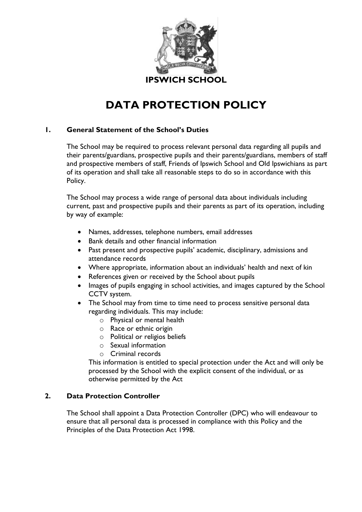

# **DATA PROTECTION POLICY**

# **1. General Statement of the School's Duties**

The School may be required to process relevant personal data regarding all pupils and their parents/guardians, prospective pupils and their parents/guardians, members of staff and prospective members of staff, Friends of Ipswich School and Old Ipswichians as part of its operation and shall take all reasonable steps to do so in accordance with this Policy.

The School may process a wide range of personal data about individuals including current, past and prospective pupils and their parents as part of its operation, including by way of example:

- Names, addresses, telephone numbers, email addresses
- Bank details and other financial information
- Past present and prospective pupils' academic, disciplinary, admissions and attendance records
- Where appropriate, information about an individuals' health and next of kin
- References given or received by the School about pupils
- Images of pupils engaging in school activities, and images captured by the School CCTV system.
- The School may from time to time need to process sensitive personal data regarding individuals. This may include:
	- o Physical or mental health
	- o Race or ethnic origin
	- o Political or religios beliefs
	- o Sexual information
	- o Criminal records

This information is entitled to special protection under the Act and will only be processed by the School with the explicit consent of the individual, or as otherwise permitted by the Act

# **2. Data Protection Controller**

The School shall appoint a Data Protection Controller (DPC) who will endeavour to ensure that all personal data is processed in compliance with this Policy and the Principles of the Data Protection Act 1998.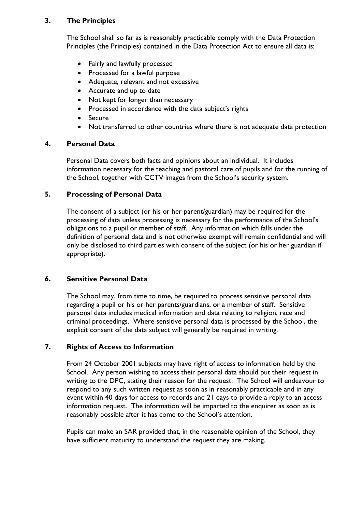# **3. The Principles**

The School shall so far as is reasonably practicable comply with the Data Protection Principles (the Principles) contained in the Data Protection Act to ensure all data is:

- Fairly and lawfully processed
- Processed for a lawful purpose
- Adequate, relevant and not excessive
- Accurate and up to date
- Not kept for longer than necessary
- Processed in accordance with the data subject's rights
- Secure
- Not transferred to other countries where there is not adequate data protection

## **4. Personal Data**

Personal Data covers both facts and opinions about an individual. It includes information necessary for the teaching and pastoral care of pupils and for the running of the School, together with CCTV images from the School's security system.

# **5. Processing of Personal Data**

The consent of a subject (or his or her parent/guardian) may be required for the processing of data unless processing is necessary for the performance of the School's obligations to a pupil or member of staff. Any information which falls under the definition of personal data and is not otherwise exempt will remain confidential and will only be disclosed to third parties with consent of the subject (or his or her guardian if appropriate).

## **6. Sensitive Personal Data**

The School may, from time to time, be required to process sensitive personal data regarding a pupil or his or her parents/guardians, or a member of staff. Sensitive personal data includes medical information and data relating to religion, race and criminal proceedings. Where sensitive personal data is processed by the School, the explicit consent of the data subject will generally be required in writing.

# **7. Rights of Access to Information**

From 24 October 2001 subjects may have right of access to information held by the School. Any person wishing to access their personal data should put their request in writing to the DPC, stating their reason for the request. The School will endeavour to respond to any such written request as soon as in reasonably practicable and in any event within 40 days for access to records and 21 days to provide a reply to an access information request. The information will be imparted to the enquirer as soon as is reasonably possible after it has come to the School's attention.

Pupils can make an SAR provided that, in the reasonable opinion of the School, they have sufficient maturity to understand the request they are making.